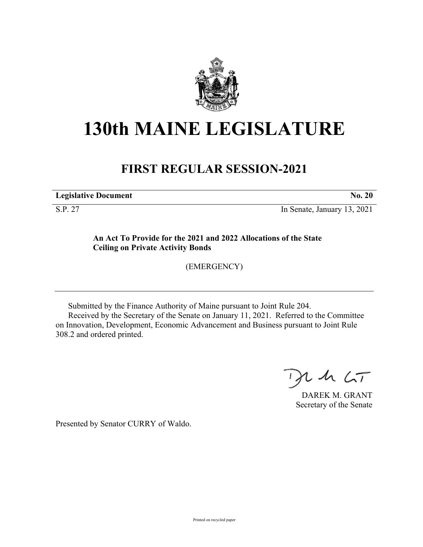

## **130th MAINE LEGISLATURE**

## **FIRST REGULAR SESSION-2021**

**Legislative Document No. 20**

S.P. 27 In Senate, January 13, 2021

**An Act To Provide for the 2021 and 2022 Allocations of the State Ceiling on Private Activity Bonds**

(EMERGENCY)

Submitted by the Finance Authority of Maine pursuant to Joint Rule 204. Received by the Secretary of the Senate on January 11, 2021. Referred to the Committee on Innovation, Development, Economic Advancement and Business pursuant to Joint Rule 308.2 and ordered printed.

 $125$ 

DAREK M. GRANT Secretary of the Senate

Presented by Senator CURRY of Waldo.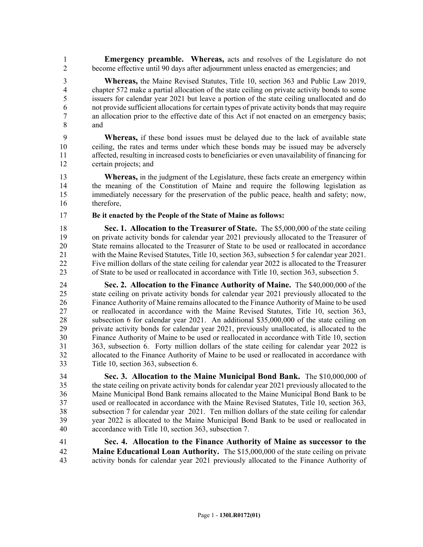1 **Emergency preamble. Whereas,** acts and resolves of the Legislature do not 2 become effective until 90 days after adjournment unless enacted as emergencies; and

3 **Whereas,** the Maine Revised Statutes, Title 10, section 363 and Public Law 2019, 4 chapter 572 make a partial allocation of the state ceiling on private activity bonds to some 5 issuers for calendar year 2021 but leave a portion of the state ceiling unallocated and do 6 not provide sufficient allocations for certain types of private activity bonds that may require 7 an allocation prior to the effective date of this Act if not enacted on an emergency basis; 8 and

9 **Whereas,** if these bond issues must be delayed due to the lack of available state 10 ceiling, the rates and terms under which these bonds may be issued may be adversely 11 affected, resulting in increased costs to beneficiaries or even unavailability of financing for 12 certain projects; and

13 **Whereas,** in the judgment of the Legislature, these facts create an emergency within 14 the meaning of the Constitution of Maine and require the following legislation as 15 immediately necessary for the preservation of the public peace, health and safety; now, 16 therefore,

17 **Be it enacted by the People of the State of Maine as follows:**

18 **Sec. 1. Allocation to the Treasurer of State.** The \$5,000,000 of the state ceiling 19 on private activity bonds for calendar year 2021 previously allocated to the Treasurer of 20 State remains allocated to the Treasurer of State to be used or reallocated in accordance 21 with the Maine Revised Statutes, Title 10, section 363, subsection 5 for calendar year 2021. 22 Five million dollars of the state ceiling for calendar year 2022 is allocated to the Treasurer 23 of State to be used or reallocated in accordance with Title 10, section 363, subsection 5.

24 **Sec. 2. Allocation to the Finance Authority of Maine.** The \$40,000,000 of the 25 state ceiling on private activity bonds for calendar year 2021 previously allocated to the 26 Finance Authority of Maine remains allocated to the Finance Authority of Maine to be used 27 or reallocated in accordance with the Maine Revised Statutes, Title 10, section 363, 28 subsection 6 for calendar year 2021. An additional \$35,000,000 of the state ceiling on 29 private activity bonds for calendar year 2021, previously unallocated, is allocated to the 30 Finance Authority of Maine to be used or reallocated in accordance with Title 10, section 31 363, subsection 6. Forty million dollars of the state ceiling for calendar year 2022 is 32 allocated to the Finance Authority of Maine to be used or reallocated in accordance with 33 Title 10, section 363, subsection 6.

34 **Sec. 3. Allocation to the Maine Municipal Bond Bank.** The \$10,000,000 of 35 the state ceiling on private activity bonds for calendar year 2021 previously allocated to the 36 Maine Municipal Bond Bank remains allocated to the Maine Municipal Bond Bank to be 37 used or reallocated in accordance with the Maine Revised Statutes, Title 10, section 363, 38 subsection 7 for calendar year 2021. Ten million dollars of the state ceiling for calendar 39 year 2022 is allocated to the Maine Municipal Bond Bank to be used or reallocated in 40 accordance with Title 10, section 363, subsection 7.

41 **Sec. 4. Allocation to the Finance Authority of Maine as successor to the**  42 **Maine Educational Loan Authority.** The \$15,000,000 of the state ceiling on private 43 activity bonds for calendar year 2021 previously allocated to the Finance Authority of